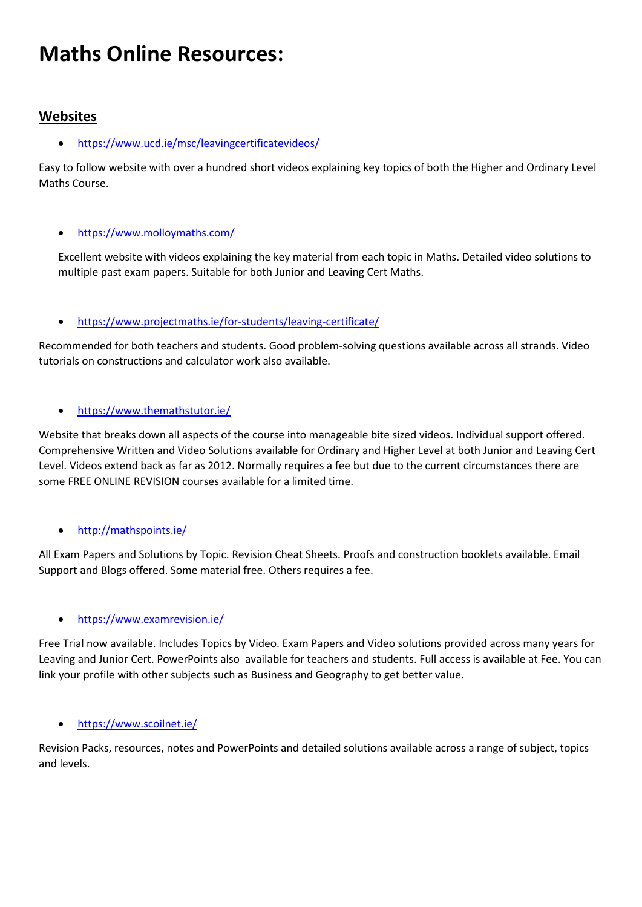# **Maths Online Resources:**

### **Websites**

• <https://www.ucd.ie/msc/leavingcertificatevideos/>

Easy to follow website with over a hundred short videos explaining key topics of both the Higher and Ordinary Level Maths Course.

#### • <https://www.molloymaths.com/>

Excellent website with videos explaining the key material from each topic in Maths. Detailed video solutions to multiple past exam papers. Suitable for both Junior and Leaving Cert Maths.

#### • <https://www.projectmaths.ie/for-students/leaving-certificate/>

Recommended for both teachers and students. Good problem-solving questions available across all strands. Video tutorials on constructions and calculator work also available.

#### • <https://www.themathstutor.ie/>

Website that breaks down all aspects of the course into manageable bite sized videos. Individual support offered. Comprehensive Written and Video Solutions available for Ordinary and Higher Level at both Junior and Leaving Cert Level. Videos extend back as far as 2012. Normally requires a fee but due to the current circumstances there are some FREE ONLINE REVISION courses available for a limited time.

#### • <http://mathspoints.ie/>

All Exam Papers and Solutions by Topic. Revision Cheat Sheets. Proofs and construction booklets available. Email Support and Blogs offered. Some material free. Others requires a fee.

#### • <https://www.examrevision.ie/>

Free Trial now available. Includes Topics by Video. Exam Papers and Video solutions provided across many years for Leaving and Junior Cert. PowerPoints also available for teachers and students. Full access is available at Fee. You can link your profile with other subjects such as Business and Geography to get better value.

#### • <https://www.scoilnet.ie/>

Revision Packs, resources, notes and PowerPoints and detailed solutions available across a range of subject, topics and levels.